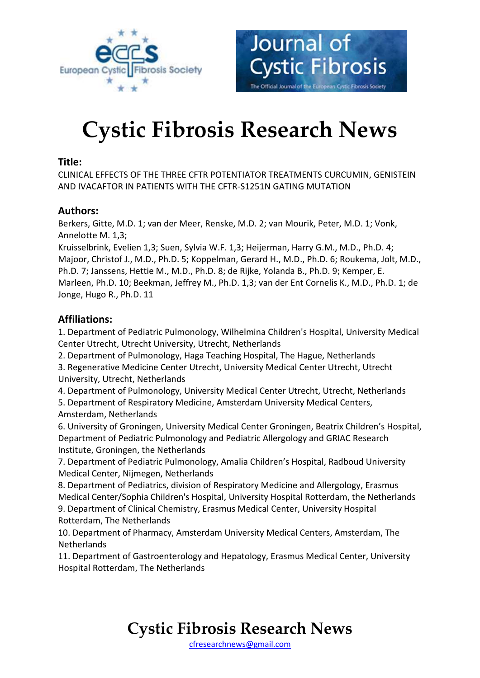

# **Cystic Fibrosis Research News**

Journal of

**Cystic Fibrosis** 

The Official Journal of the European Cystic Fibrosis Society

#### **Title:**

CLINICAL EFFECTS OF THE THREE CFTR POTENTIATOR TREATMENTS CURCUMIN, GENISTEIN AND IVACAFTOR IN PATIENTS WITH THE CFTR-S1251N GATING MUTATION

#### **Authors:**

Berkers, Gitte, M.D. 1; van der Meer, Renske, M.D. 2; van Mourik, Peter, M.D. 1; Vonk, Annelotte M. 1,3;

Kruisselbrink, Evelien 1,3; Suen, Sylvia W.F. 1,3; Heijerman, Harry G.M., M.D., Ph.D. 4; Majoor, Christof J., M.D., Ph.D. 5; Koppelman, Gerard H., M.D., Ph.D. 6; Roukema, Jolt, M.D., Ph.D. 7; Janssens, Hettie M., M.D., Ph.D. 8; de Rijke, Yolanda B., Ph.D. 9; Kemper, E. Marleen, Ph.D. 10; Beekman, Jeffrey M., Ph.D. 1,3; van der Ent Cornelis K., M.D., Ph.D. 1; de Jonge, Hugo R., Ph.D. 11

#### **Affiliations:**

1. Department of Pediatric Pulmonology, Wilhelmina Children's Hospital, University Medical Center Utrecht, Utrecht University, Utrecht, Netherlands

2. Department of Pulmonology, Haga Teaching Hospital, The Hague, Netherlands

3. Regenerative Medicine Center Utrecht, University Medical Center Utrecht, Utrecht University, Utrecht, Netherlands

4. Department of Pulmonology, University Medical Center Utrecht, Utrecht, Netherlands

5. Department of Respiratory Medicine, Amsterdam University Medical Centers, Amsterdam, Netherlands

6. University of Groningen, University Medical Center Groningen, Beatrix Children's Hospital, Department of Pediatric Pulmonology and Pediatric Allergology and GRIAC Research Institute, Groningen, the Netherlands

7. Department of Pediatric Pulmonology, Amalia Children's Hospital, Radboud University Medical Center, Nijmegen, Netherlands

8. Department of Pediatrics, division of Respiratory Medicine and Allergology, Erasmus Medical Center/Sophia Children's Hospital, University Hospital Rotterdam, the Netherlands 9. Department of Clinical Chemistry, Erasmus Medical Center, University Hospital Rotterdam, The Netherlands

10. Department of Pharmacy, Amsterdam University Medical Centers, Amsterdam, The **Netherlands** 

11. Department of Gastroenterology and Hepatology, Erasmus Medical Center, University Hospital Rotterdam, The Netherlands

### **Cystic Fibrosis Research News**

[cfresearchnews@gmail.com](mailto:cfresearchnews@gmail.com)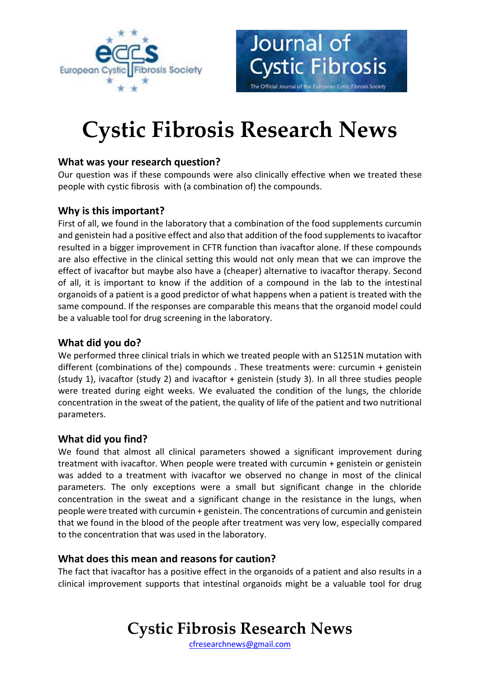



### **Cystic Fibrosis Research News**

#### **What was your research question?**

Our question was if these compounds were also clinically effective when we treated these people with cystic fibrosis with (a combination of) the compounds.

#### **Why is this important?**

First of all, we found in the laboratory that a combination of the food supplements curcumin and genistein had a positive effect and also that addition of the food supplements to ivacaftor resulted in a bigger improvement in CFTR function than ivacaftor alone. If these compounds are also effective in the clinical setting this would not only mean that we can improve the effect of ivacaftor but maybe also have a (cheaper) alternative to ivacaftor therapy. Second of all, it is important to know if the addition of a compound in the lab to the intestinal organoids of a patient is a good predictor of what happens when a patient is treated with the same compound. If the responses are comparable this means that the organoid model could be a valuable tool for drug screening in the laboratory.

#### **What did you do?**

We performed three clinical trials in which we treated people with an S1251N mutation with different (combinations of the) compounds . These treatments were: curcumin + genistein (study 1), ivacaftor (study 2) and ivacaftor + genistein (study 3). In all three studies people were treated during eight weeks. We evaluated the condition of the lungs, the chloride concentration in the sweat of the patient, the quality of life of the patient and two nutritional parameters.

#### **What did you find?**

We found that almost all clinical parameters showed a significant improvement during treatment with ivacaftor. When people were treated with curcumin + genistein or genistein was added to a treatment with ivacaftor we observed no change in most of the clinical parameters. The only exceptions were a small but significant change in the chloride concentration in the sweat and a significant change in the resistance in the lungs, when people were treated with curcumin + genistein. The concentrations of curcumin and genistein that we found in the blood of the people after treatment was very low, especially compared to the concentration that was used in the laboratory.

#### **What does this mean and reasons for caution?**

The fact that ivacaftor has a positive effect in the organoids of a patient and also results in a clinical improvement supports that intestinal organoids might be a valuable tool for drug

### **Cystic Fibrosis Research News**

[cfresearchnews@gmail.com](mailto:cfresearchnews@gmail.com)